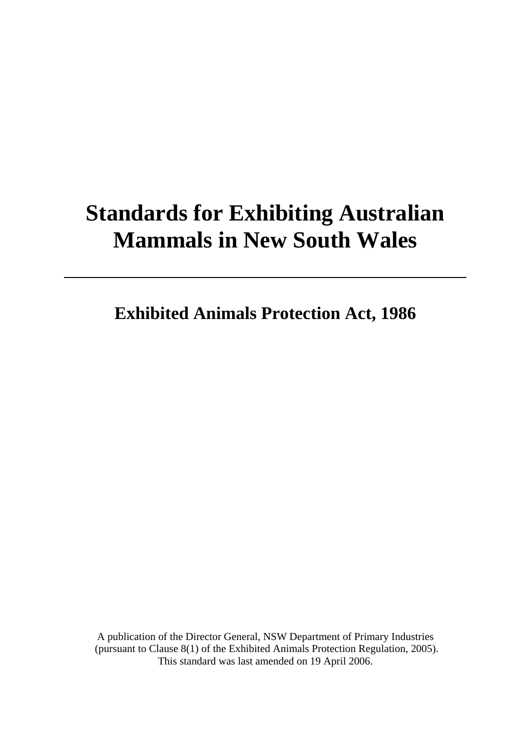# **Standards for Exhibiting Australian Mammals in New South Wales**

**Exhibited Animals Protection Act, 1986** 

A publication of the Director General, NSW Department of Primary Industries (pursuant to Clause 8(1) of the Exhibited Animals Protection Regulation, 2005). This standard was last amended on 19 April 2006.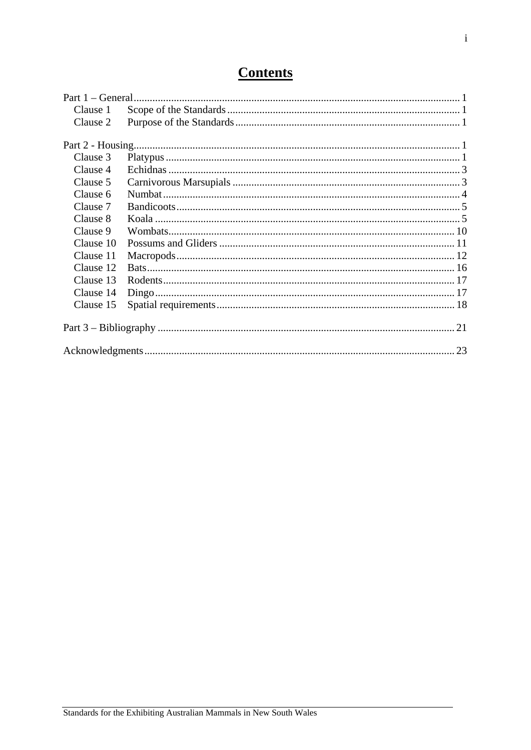## **Contents**

| Clause 1  |  |
|-----------|--|
| Clause 2  |  |
|           |  |
|           |  |
| Clause 3  |  |
| Clause 4  |  |
| Clause 5  |  |
| Clause 6  |  |
| Clause 7  |  |
| Clause 8  |  |
| Clause 9  |  |
| Clause 10 |  |
| Clause 11 |  |
| Clause 12 |  |
| Clause 13 |  |
| Clause 14 |  |
| Clause 15 |  |
|           |  |
|           |  |
|           |  |
|           |  |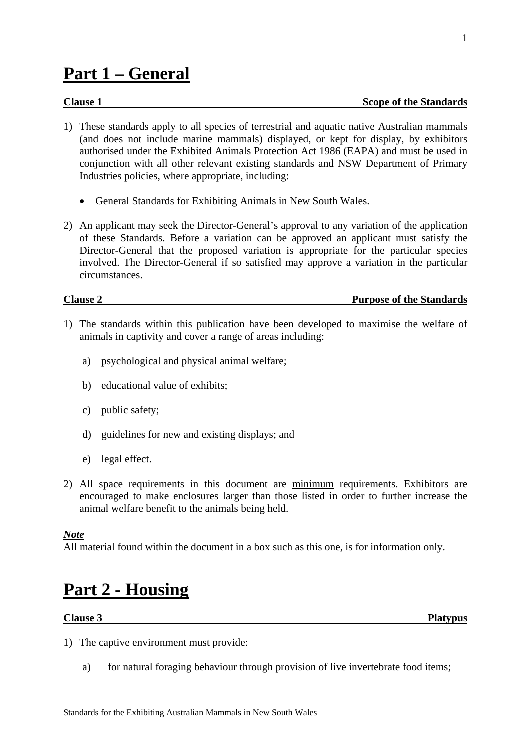## <span id="page-2-0"></span>**Part 1 – General**

- 1) These standards apply to all species of terrestrial and aquatic native Australian mammals (and does not include marine mammals) displayed, or kept for display, by exhibitors authorised under the Exhibited Animals Protection Act 1986 (EAPA) and must be used in conjunction with all other relevant existing standards and NSW Department of Primary Industries policies, where appropriate, including:
	- General Standards for Exhibiting Animals in New South Wales.
- 2) An applicant may seek the Director-General's approval to any variation of the application of these Standards. Before a variation can be approved an applicant must satisfy the Director-General that the proposed variation is appropriate for the particular species involved. The Director-General if so satisfied may approve a variation in the particular circumstances.

| <b>Clause 2</b> | <b>Purpose of the Standards</b> |
|-----------------|---------------------------------|
|                 |                                 |

- 1) The standards within this publication have been developed to maximise the welfare of animals in captivity and cover a range of areas including:
	- a) psychological and physical animal welfare;
	- b) educational value of exhibits;
	- c) public safety;
	- d) guidelines for new and existing displays; and
	- e) legal effect.
- 2) All space requirements in this document are minimum requirements. Exhibitors are encouraged to make enclosures larger than those listed in order to further increase the animal welfare benefit to the animals being held.

#### *Note*

All material found within the document in a box such as this one, is for information only.

## **Part 2 - Housing**

#### **Clause 3 Platypus**

- 1) The captive environment must provide:
	- a) for natural foraging behaviour through provision of live invertebrate food items;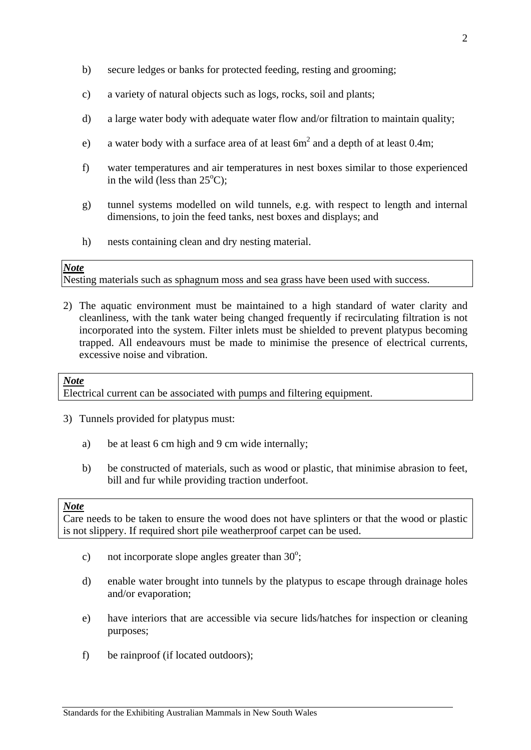- b) secure ledges or banks for protected feeding, resting and grooming;
- c) a variety of natural objects such as logs, rocks, soil and plants;
- d) a large water body with adequate water flow and/or filtration to maintain quality;
- e) a water body with a surface area of at least  $6m<sup>2</sup>$  and a depth of at least 0.4m;
- f) water temperatures and air temperatures in nest boxes similar to those experienced in the wild (less than  $25^{\circ}$ C);
- g) tunnel systems modelled on wild tunnels, e.g. with respect to length and internal dimensions, to join the feed tanks, nest boxes and displays; and
- h) nests containing clean and dry nesting material.

Nesting materials such as sphagnum moss and sea grass have been used with success.

2) The aquatic environment must be maintained to a high standard of water clarity and cleanliness, with the tank water being changed frequently if recirculating filtration is not incorporated into the system. Filter inlets must be shielded to prevent platypus becoming trapped. All endeavours must be made to minimise the presence of electrical currents, excessive noise and vibration.

#### *Note*

Electrical current can be associated with pumps and filtering equipment.

- 3) Tunnels provided for platypus must:
	- a) be at least 6 cm high and 9 cm wide internally;
	- b) be constructed of materials, such as wood or plastic, that minimise abrasion to feet, bill and fur while providing traction underfoot.

### *Note*

Care needs to be taken to ensure the wood does not have splinters or that the wood or plastic is not slippery. If required short pile weatherproof carpet can be used.

- c) not incorporate slope angles greater than  $30^\circ$ ;
- d) enable water brought into tunnels by the platypus to escape through drainage holes and/or evaporation;
- e) have interiors that are accessible via secure lids/hatches for inspection or cleaning purposes;
- f) be rainproof (if located outdoors);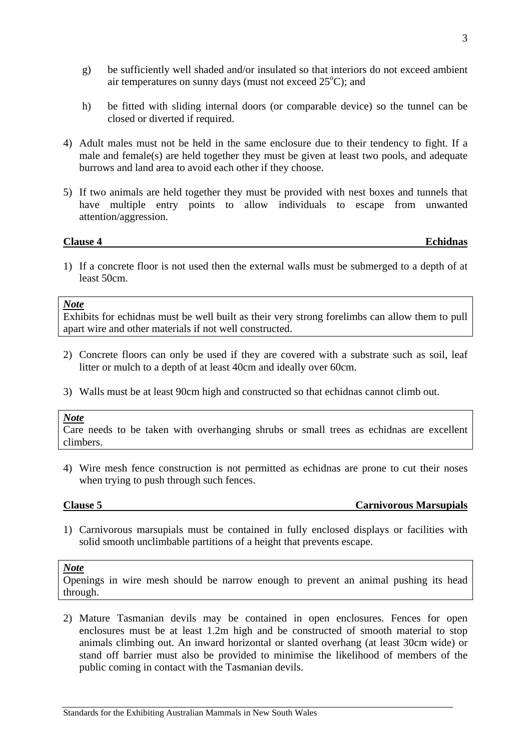- <span id="page-4-0"></span>g) be sufficiently well shaded and/or insulated so that interiors do not exceed ambient air temperatures on sunny days (must not exceed  $25^{\circ}$ C); and
- h) be fitted with sliding internal doors (or comparable device) so the tunnel can be closed or diverted if required.
- 4) Adult males must not be held in the same enclosure due to their tendency to fight. If a male and female(s) are held together they must be given at least two pools, and adequate burrows and land area to avoid each other if they choose.
- 5) If two animals are held together they must be provided with nest boxes and tunnels that have multiple entry points to allow individuals to escape from unwanted attention/aggression.

#### **Clause 4 Echidnas**

1) If a concrete floor is not used then the external walls must be submerged to a depth of at least 50cm.

#### *Note*

Exhibits for echidnas must be well built as their very strong forelimbs can allow them to pull apart wire and other materials if not well constructed.

- 2) Concrete floors can only be used if they are covered with a substrate such as soil, leaf litter or mulch to a depth of at least 40cm and ideally over 60cm.
- 3) Walls must be at least 90cm high and constructed so that echidnas cannot climb out.

#### *Note*

Care needs to be taken with overhanging shrubs or small trees as echidnas are excellent climbers.

4) Wire mesh fence construction is not permitted as echidnas are prone to cut their noses when trying to push through such fences.

#### **Clause 5 Carnivorous Marsupials**

1) Carnivorous marsupials must be contained in fully enclosed displays or facilities with solid smooth unclimbable partitions of a height that prevents escape.

#### *Note*

Openings in wire mesh should be narrow enough to prevent an animal pushing its head through.

2) Mature Tasmanian devils may be contained in open enclosures. Fences for open enclosures must be at least 1.2m high and be constructed of smooth material to stop animals climbing out. An inward horizontal or slanted overhang (at least 30cm wide) or stand off barrier must also be provided to minimise the likelihood of members of the public coming in contact with the Tasmanian devils.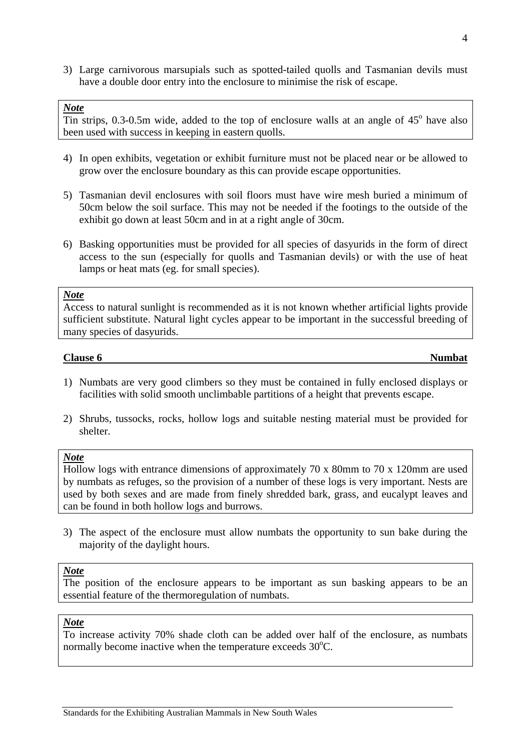<span id="page-5-0"></span>3) Large carnivorous marsupials such as spotted-tailed quolls and Tasmanian devils must have a double door entry into the enclosure to minimise the risk of escape.

#### *Note*

 $\overline{T}$  in strips, 0.3-0.5m wide, added to the top of enclosure walls at an angle of 45 $^{\circ}$  have also been used with success in keeping in eastern quolls.

- 4) In open exhibits, vegetation or exhibit furniture must not be placed near or be allowed to grow over the enclosure boundary as this can provide escape opportunities.
- 5) Tasmanian devil enclosures with soil floors must have wire mesh buried a minimum of 50cm below the soil surface. This may not be needed if the footings to the outside of the exhibit go down at least 50cm and in at a right angle of 30cm.
- 6) Basking opportunities must be provided for all species of dasyurids in the form of direct access to the sun (especially for quolls and Tasmanian devils) or with the use of heat lamps or heat mats (eg. for small species).

#### *Note*

Access to natural sunlight is recommended as it is not known whether artificial lights provide sufficient substitute. Natural light cycles appear to be important in the successful breeding of many species of dasyurids.

#### **Clause 6** Numbat

- 1) Numbats are very good climbers so they must be contained in fully enclosed displays or facilities with solid smooth unclimbable partitions of a height that prevents escape.
- 2) Shrubs, tussocks, rocks, hollow logs and suitable nesting material must be provided for shelter.

#### *Note*

Hollow logs with entrance dimensions of approximately 70 x 80mm to 70 x 120mm are used by numbats as refuges, so the provision of a number of these logs is very important. Nests are used by both sexes and are made from finely shredded bark, grass, and eucalypt leaves and can be found in both hollow logs and burrows.

3) The aspect of the enclosure must allow numbats the opportunity to sun bake during the majority of the daylight hours.

### *Note*

The position of the enclosure appears to be important as sun basking appears to be an essential feature of the thermoregulation of numbats.

#### *Note*

To increase activity 70% shade cloth can be added over half of the enclosure, as numbats normally become inactive when the temperature exceeds  $30^{\circ}$ C.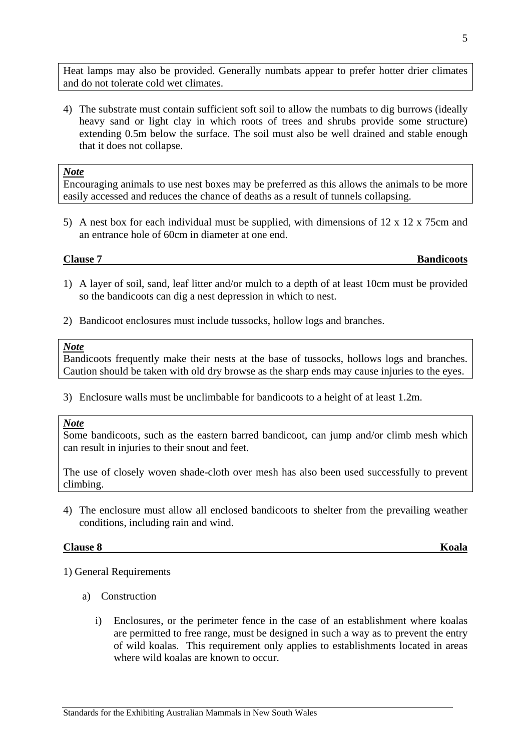<span id="page-6-0"></span>Heat lamps may also be provided. Generally numbats appear to prefer hotter drier climates and do not tolerate cold wet climates.

4) The substrate must contain sufficient soft soil to allow the numbats to dig burrows (ideally heavy sand or light clay in which roots of trees and shrubs provide some structure) extending 0.5m below the surface. The soil must also be well drained and stable enough that it does not collapse.

#### *Note*

Encouraging animals to use nest boxes may be preferred as this allows the animals to be more easily accessed and reduces the chance of deaths as a result of tunnels collapsing.

5) A nest box for each individual must be supplied, with dimensions of 12 x 12 x 75cm and an entrance hole of 60cm in diameter at one end.

#### **Clause 7 Bandicoots**

- 1) A layer of soil, sand, leaf litter and/or mulch to a depth of at least 10cm must be provided so the bandicoots can dig a nest depression in which to nest.
- 2) Bandicoot enclosures must include tussocks, hollow logs and branches.

#### *Note*

Bandicoots frequently make their nests at the base of tussocks, hollows logs and branches. Caution should be taken with old dry browse as the sharp ends may cause injuries to the eyes.

3) Enclosure walls must be unclimbable for bandicoots to a height of at least 1.2m.

#### *Note*

Some bandicoots, such as the eastern barred bandicoot, can jump and/or climb mesh which can result in injuries to their snout and feet.

The use of closely woven shade-cloth over mesh has also been used successfully to prevent climbing.

4) The enclosure must allow all enclosed bandicoots to shelter from the prevailing weather conditions, including rain and wind.

### **Clause 8 Koala**

1) General Requirements

- a) Construction
	- i) Enclosures, or the perimeter fence in the case of an establishment where koalas are permitted to free range, must be designed in such a way as to prevent the entry of wild koalas. This requirement only applies to establishments located in areas where wild koalas are known to occur.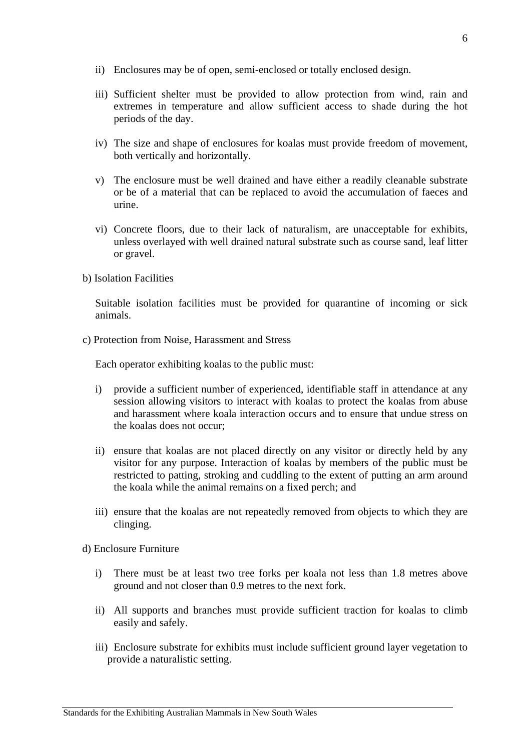- ii) Enclosures may be of open, semi-enclosed or totally enclosed design.
- iii) Sufficient shelter must be provided to allow protection from wind, rain and extremes in temperature and allow sufficient access to shade during the hot periods of the day.
- iv) The size and shape of enclosures for koalas must provide freedom of movement, both vertically and horizontally.
- v) The enclosure must be well drained and have either a readily cleanable substrate or be of a material that can be replaced to avoid the accumulation of faeces and urine.
- vi) Concrete floors, due to their lack of naturalism, are unacceptable for exhibits, unless overlayed with well drained natural substrate such as course sand, leaf litter or gravel.
- b) Isolation Facilities

Suitable isolation facilities must be provided for quarantine of incoming or sick animals.

c) Protection from Noise, Harassment and Stress

Each operator exhibiting koalas to the public must:

- i) provide a sufficient number of experienced, identifiable staff in attendance at any session allowing visitors to interact with koalas to protect the koalas from abuse and harassment where koala interaction occurs and to ensure that undue stress on the koalas does not occur;
- ii) ensure that koalas are not placed directly on any visitor or directly held by any visitor for any purpose. Interaction of koalas by members of the public must be restricted to patting, stroking and cuddling to the extent of putting an arm around the koala while the animal remains on a fixed perch; and
- iii) ensure that the koalas are not repeatedly removed from objects to which they are clinging.

d) Enclosure Furniture

- i) There must be at least two tree forks per koala not less than 1.8 metres above ground and not closer than 0.9 metres to the next fork.
- ii) All supports and branches must provide sufficient traction for koalas to climb easily and safely.
- iii) Enclosure substrate for exhibits must include sufficient ground layer vegetation to provide a naturalistic setting.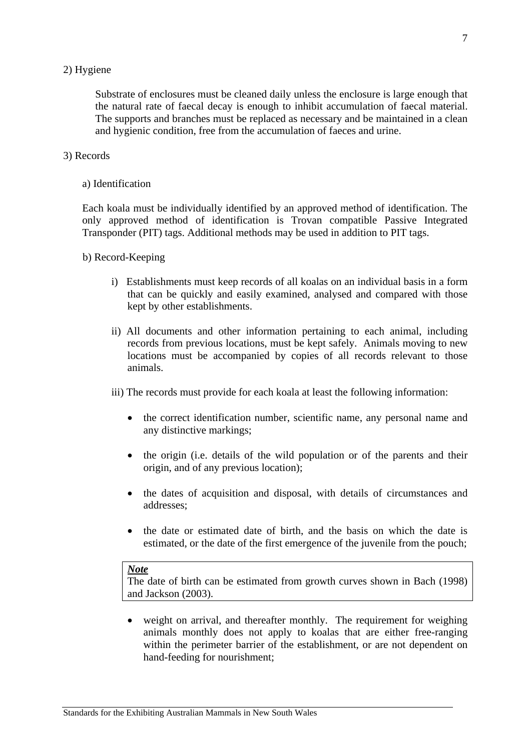#### 2) Hygiene

Substrate of enclosures must be cleaned daily unless the enclosure is large enough that the natural rate of faecal decay is enough to inhibit accumulation of faecal material. The supports and branches must be replaced as necessary and be maintained in a clean and hygienic condition, free from the accumulation of faeces and urine.

#### 3) Records

#### a) Identification

Each koala must be individually identified by an approved method of identification. The only approved method of identification is Trovan compatible Passive Integrated Transponder (PIT) tags. Additional methods may be used in addition to PIT tags.

#### b) Record-Keeping

- i) Establishments must keep records of all koalas on an individual basis in a form that can be quickly and easily examined, analysed and compared with those kept by other establishments.
- ii) All documents and other information pertaining to each animal, including records from previous locations, must be kept safely. Animals moving to new locations must be accompanied by copies of all records relevant to those animals.

iii) The records must provide for each koala at least the following information:

- the correct identification number, scientific name, any personal name and any distinctive markings;
- the origin (i.e. details of the wild population or of the parents and their origin, and of any previous location);
- the dates of acquisition and disposal, with details of circumstances and addresses;
- the date or estimated date of birth, and the basis on which the date is estimated, or the date of the first emergence of the juvenile from the pouch;

### *Note*

The date of birth can be estimated from growth curves shown in Bach (1998) and Jackson (2003).

• weight on arrival, and thereafter monthly. The requirement for weighing animals monthly does not apply to koalas that are either free-ranging within the perimeter barrier of the establishment, or are not dependent on hand-feeding for nourishment;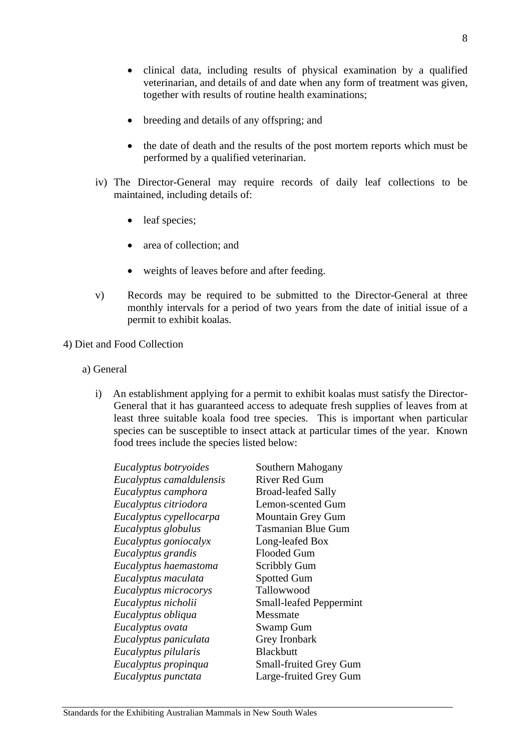8

- clinical data, including results of physical examination by a qualified veterinarian, and details of and date when any form of treatment was given, together with results of routine health examinations;
- breeding and details of any offspring; and
- the date of death and the results of the post mortem reports which must be performed by a qualified veterinarian.
- iv) The Director-General may require records of daily leaf collections to be maintained, including details of:
	- leaf species;
	- area of collection; and
	- weights of leaves before and after feeding.
- v) Records may be required to be submitted to the Director-General at three monthly intervals for a period of two years from the date of initial issue of a permit to exhibit koalas.
- 4) Diet and Food Collection
	- a) General
		- i) An establishment applying for a permit to exhibit koalas must satisfy the Director-General that it has guaranteed access to adequate fresh supplies of leaves from at least three suitable koala food tree species. This is important when particular species can be susceptible to insect attack at particular times of the year. Known food trees include the species listed below:

| Eucalyptus botryoides    | Southern Mahogany              |
|--------------------------|--------------------------------|
| Eucalyptus camaldulensis | River Red Gum                  |
| Eucalyptus camphora      | <b>Broad-leafed Sally</b>      |
| Eucalyptus citriodora    | Lemon-scented Gum              |
| Eucalyptus cypellocarpa  | <b>Mountain Grey Gum</b>       |
| Eucalyptus globulus      | <b>Tasmanian Blue Gum</b>      |
| Eucalyptus goniocalyx    | Long-leafed Box                |
| Eucalyptus grandis       | <b>Flooded Gum</b>             |
| Eucalyptus haemastoma    | <b>Scribbly Gum</b>            |
| Eucalyptus maculata      | <b>Spotted Gum</b>             |
| Eucalyptus microcorys    | Tallowwood                     |
| Eucalyptus nicholii      | <b>Small-leafed Peppermint</b> |
| Eucalyptus obliqua       | Messmate                       |
| Eucalyptus ovata         | Swamp Gum                      |
| Eucalyptus paniculata    | Grey Ironbark                  |
| Eucalyptus pilularis     | <b>Blackbutt</b>               |
| Eucalyptus propinqua     | <b>Small-fruited Grey Gum</b>  |
| Eucalyptus punctata      | Large-fruited Grey Gum         |
|                          |                                |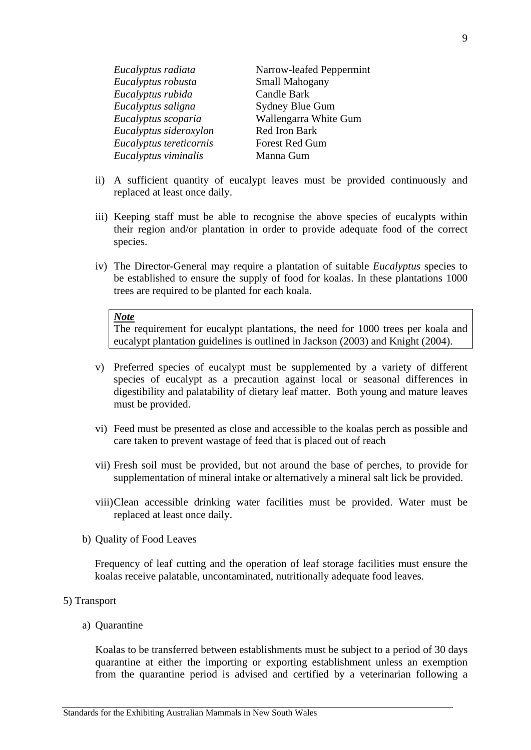| Eucalyptus radiata      | Narrow-leafed Peppermint |
|-------------------------|--------------------------|
| Eucalyptus robusta      | <b>Small Mahogany</b>    |
| Eucalyptus rubida       | <b>Candle Bark</b>       |
| Eucalyptus saligna      | <b>Sydney Blue Gum</b>   |
| Eucalyptus scoparia     | Wallengarra White Gum    |
| Eucalyptus sideroxylon  | Red Iron Bark            |
| Eucalyptus tereticornis | <b>Forest Red Gum</b>    |
| Eucalyptus viminalis    | Manna Gum                |

- ii) A sufficient quantity of eucalypt leaves must be provided continuously and replaced at least once daily.
- iii) Keeping staff must be able to recognise the above species of eucalypts within their region and/or plantation in order to provide adequate food of the correct species.
- iv) The Director-General may require a plantation of suitable *Eucalyptus* species to be established to ensure the supply of food for koalas. In these plantations 1000 trees are required to be planted for each koala.

The requirement for eucalypt plantations, the need for 1000 trees per koala and eucalypt plantation guidelines is outlined in Jackson (2003) and Knight (2004).

- v) Preferred species of eucalypt must be supplemented by a variety of different species of eucalypt as a precaution against local or seasonal differences in digestibility and palatability of dietary leaf matter. Both young and mature leaves must be provided.
- vi) Feed must be presented as close and accessible to the koalas perch as possible and care taken to prevent wastage of feed that is placed out of reach
- vii) Fresh soil must be provided, but not around the base of perches, to provide for supplementation of mineral intake or alternatively a mineral salt lick be provided.
- viii)Clean accessible drinking water facilities must be provided. Water must be replaced at least once daily.
- b) Quality of Food Leaves

Frequency of leaf cutting and the operation of leaf storage facilities must ensure the koalas receive palatable, uncontaminated, nutritionally adequate food leaves.

#### 5) Transport

a) Quarantine

Koalas to be transferred between establishments must be subject to a period of 30 days quarantine at either the importing or exporting establishment unless an exemption from the quarantine period is advised and certified by a veterinarian following a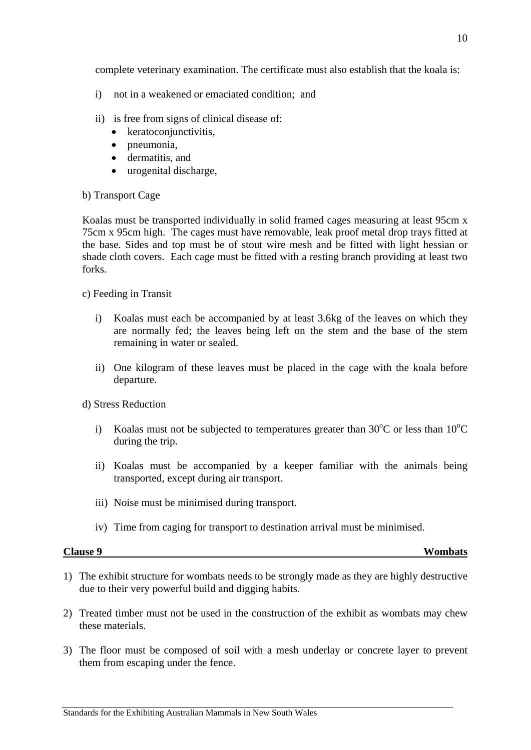<span id="page-11-0"></span>complete veterinary examination. The certificate must also establish that the koala is:

- i) not in a weakened or emaciated condition; and
- ii) is free from signs of clinical disease of:
	- keratoconjunctivitis,
	- pneumonia,
	- dermatitis, and
	- urogenital discharge,

#### b) Transport Cage

Koalas must be transported individually in solid framed cages measuring at least 95cm x 75cm x 95cm high. The cages must have removable, leak proof metal drop trays fitted at the base. Sides and top must be of stout wire mesh and be fitted with light hessian or shade cloth covers. Each cage must be fitted with a resting branch providing at least two forks.

c) Feeding in Transit

- i) Koalas must each be accompanied by at least 3.6kg of the leaves on which they are normally fed; the leaves being left on the stem and the base of the stem remaining in water or sealed.
- ii) One kilogram of these leaves must be placed in the cage with the koala before departure.

### d) Stress Reduction

- i) Koalas must not be subjected to temperatures greater than  $30^{\circ}$ C or less than  $10^{\circ}$ C during the trip.
- ii) Koalas must be accompanied by a keeper familiar with the animals being transported, except during air transport.
- iii) Noise must be minimised during transport.
- iv) Time from caging for transport to destination arrival must be minimised.

**Clause 9 Wombats**

- 1) The exhibit structure for wombats needs to be strongly made as they are highly destructive due to their very powerful build and digging habits.
- 2) Treated timber must not be used in the construction of the exhibit as wombats may chew these materials.
- 3) The floor must be composed of soil with a mesh underlay or concrete layer to prevent them from escaping under the fence.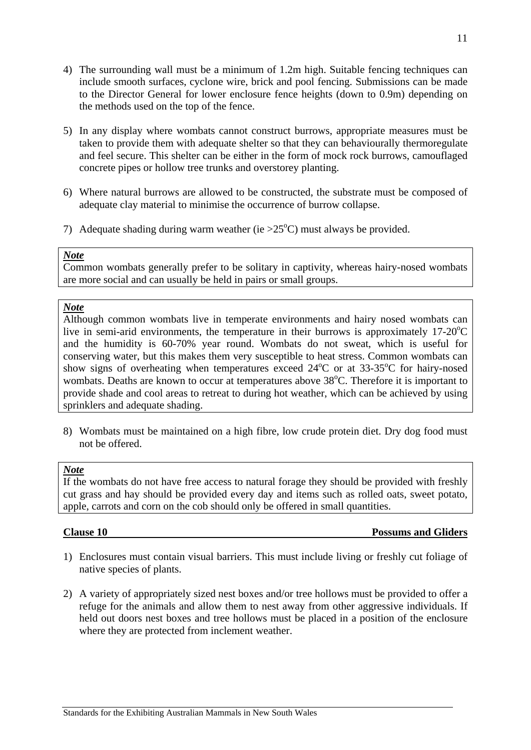- <span id="page-12-0"></span>4) The surrounding wall must be a minimum of 1.2m high. Suitable fencing techniques can include smooth surfaces, cyclone wire, brick and pool fencing. Submissions can be made to the Director General for lower enclosure fence heights (down to 0.9m) depending on the methods used on the top of the fence.
- 5) In any display where wombats cannot construct burrows, appropriate measures must be taken to provide them with adequate shelter so that they can behaviourally thermoregulate and feel secure. This shelter can be either in the form of mock rock burrows, camouflaged concrete pipes or hollow tree trunks and overstorey planting.
- 6) Where natural burrows are allowed to be constructed, the substrate must be composed of adequate clay material to minimise the occurrence of burrow collapse.
- 7) Adequate shading during warm weather (ie  $>25^{\circ}$ C) must always be provided.

Common wombats generally prefer to be solitary in captivity, whereas hairy-nosed wombats are more social and can usually be held in pairs or small groups.

#### *Note*

Although common wombats live in temperate environments and hairy nosed wombats can live in semi-arid environments, the temperature in their burrows is approximately  $17\text{-}20^{\circ}\text{C}$ and the humidity is 60-70% year round. Wombats do not sweat, which is useful for conserving water, but this makes them very susceptible to heat stress. Common wombats can show signs of overheating when temperatures exceed  $24^{\circ}$ C or at 33-35 $^{\circ}$ C for hairy-nosed wombats. Deaths are known to occur at temperatures above 38°C. Therefore it is important to provide shade and cool areas to retreat to during hot weather, which can be achieved by using sprinklers and adequate shading.

8) Wombats must be maintained on a high fibre, low crude protein diet. Dry dog food must not be offered.

### *Note*

If the wombats do not have free access to natural forage they should be provided with freshly cut grass and hay should be provided every day and items such as rolled oats, sweet potato, apple, carrots and corn on the cob should only be offered in small quantities.

#### **Clause 10 Possums and Gliders**

- 1) Enclosures must contain visual barriers. This must include living or freshly cut foliage of native species of plants.
- 2) A variety of appropriately sized nest boxes and/or tree hollows must be provided to offer a refuge for the animals and allow them to nest away from other aggressive individuals. If held out doors nest boxes and tree hollows must be placed in a position of the enclosure where they are protected from inclement weather.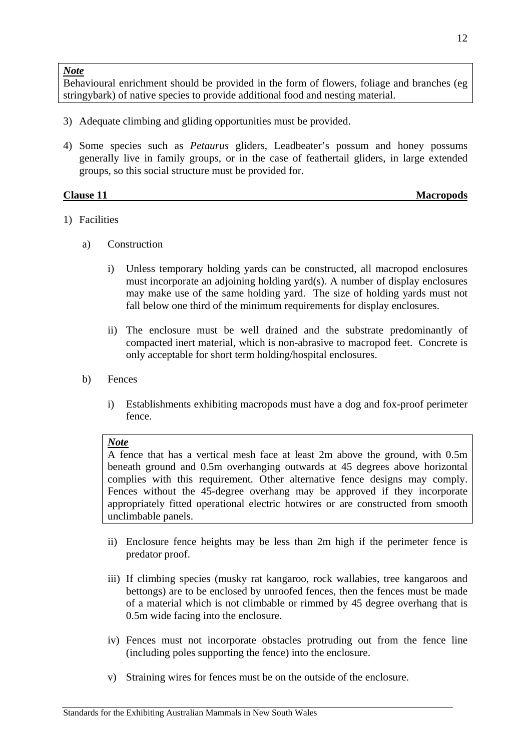<span id="page-13-0"></span>Behavioural enrichment should be provided in the form of flowers, foliage and branches (eg stringybark) of native species to provide additional food and nesting material.

- 3) Adequate climbing and gliding opportunities must be provided.
- 4) Some species such as *Petaurus* gliders, Leadbeater's possum and honey possums generally live in family groups, or in the case of feathertail gliders, in large extended groups, so this social structure must be provided for.

| <b>Clause 11</b> | <b>Macropods</b> |
|------------------|------------------|

- 1) Facilities
	- a) Construction
		- i) Unless temporary holding yards can be constructed, all macropod enclosures must incorporate an adjoining holding yard(s). A number of display enclosures may make use of the same holding yard. The size of holding yards must not fall below one third of the minimum requirements for display enclosures.
		- ii) The enclosure must be well drained and the substrate predominantly of compacted inert material, which is non-abrasive to macropod feet. Concrete is only acceptable for short term holding/hospital enclosures.
	- b) Fences
		- i) Establishments exhibiting macropods must have a dog and fox-proof perimeter fence.

### *Note*

A fence that has a vertical mesh face at least 2m above the ground, with 0.5m beneath ground and 0.5m overhanging outwards at 45 degrees above horizontal complies with this requirement. Other alternative fence designs may comply. Fences without the 45-degree overhang may be approved if they incorporate appropriately fitted operational electric hotwires or are constructed from smooth unclimbable panels.

- ii) Enclosure fence heights may be less than 2m high if the perimeter fence is predator proof.
- iii) If climbing species (musky rat kangaroo, rock wallabies, tree kangaroos and bettongs) are to be enclosed by unroofed fences, then the fences must be made of a material which is not climbable or rimmed by 45 degree overhang that is 0.5m wide facing into the enclosure.
- iv) Fences must not incorporate obstacles protruding out from the fence line (including poles supporting the fence) into the enclosure.
- v) Straining wires for fences must be on the outside of the enclosure.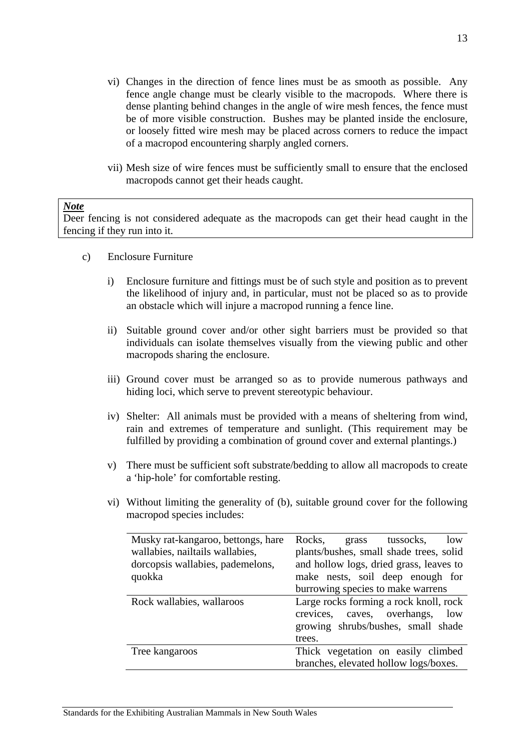- vi) Changes in the direction of fence lines must be as smooth as possible. Any fence angle change must be clearly visible to the macropods. Where there is dense planting behind changes in the angle of wire mesh fences, the fence must be of more visible construction. Bushes may be planted inside the enclosure, or loosely fitted wire mesh may be placed across corners to reduce the impact of a macropod encountering sharply angled corners.
- vii) Mesh size of wire fences must be sufficiently small to ensure that the enclosed macropods cannot get their heads caught.

Deer fencing is not considered adequate as the macropods can get their head caught in the fencing if they run into it.

- c) Enclosure Furniture
	- i) Enclosure furniture and fittings must be of such style and position as to prevent the likelihood of injury and, in particular, must not be placed so as to provide an obstacle which will injure a macropod running a fence line.
	- ii) Suitable ground cover and/or other sight barriers must be provided so that individuals can isolate themselves visually from the viewing public and other macropods sharing the enclosure.
	- iii) Ground cover must be arranged so as to provide numerous pathways and hiding loci, which serve to prevent stereotypic behaviour.
	- iv) Shelter: All animals must be provided with a means of sheltering from wind, rain and extremes of temperature and sunlight. (This requirement may be fulfilled by providing a combination of ground cover and external plantings.)
	- v) There must be sufficient soft substrate/bedding to allow all macropods to create a 'hip-hole' for comfortable resting.
	- vi) Without limiting the generality of (b), suitable ground cover for the following macropod species includes:

| Musky rat-kangaroo, bettongs, hare | Rocks,<br>tussocks,<br>grass<br>low     |
|------------------------------------|-----------------------------------------|
| wallabies, nailtails wallabies,    | plants/bushes, small shade trees, solid |
| dorcopsis wallabies, pademelons,   | and hollow logs, dried grass, leaves to |
| quokka                             | make nests, soil deep enough for        |
|                                    | burrowing species to make warrens       |
| Rock wallabies, wallaroos          | Large rocks forming a rock knoll, rock  |
|                                    | crevices, caves, overhangs,<br>low      |
|                                    | growing shrubs/bushes, small shade      |
|                                    | trees.                                  |
| Tree kangaroos                     | Thick vegetation on easily climbed      |
|                                    | branches, elevated hollow logs/boxes.   |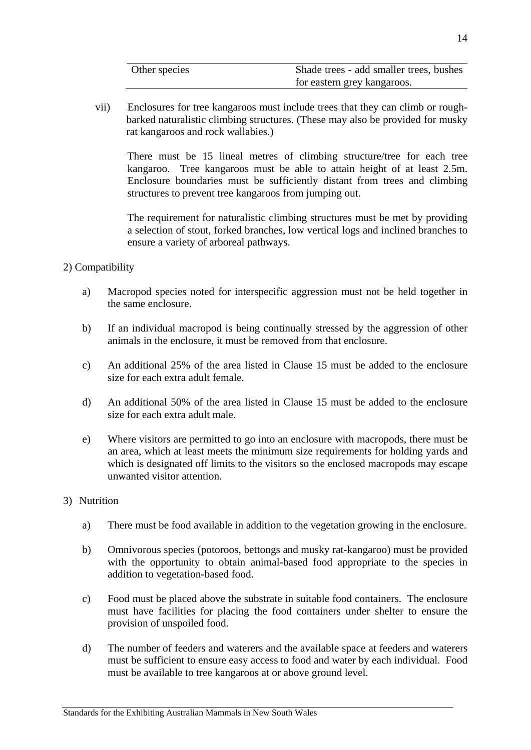| Other species | Shade trees - add smaller trees, bushes |
|---------------|-----------------------------------------|
|               | for eastern grey kangaroos.             |

vii) Enclosures for tree kangaroos must include trees that they can climb or roughbarked naturalistic climbing structures. (These may also be provided for musky rat kangaroos and rock wallabies.)

There must be 15 lineal metres of climbing structure/tree for each tree kangaroo. Tree kangaroos must be able to attain height of at least 2.5m. Enclosure boundaries must be sufficiently distant from trees and climbing structures to prevent tree kangaroos from jumping out.

The requirement for naturalistic climbing structures must be met by providing a selection of stout, forked branches, low vertical logs and inclined branches to ensure a variety of arboreal pathways.

- 2) Compatibility
	- a) Macropod species noted for interspecific aggression must not be held together in the same enclosure.
	- b) If an individual macropod is being continually stressed by the aggression of other animals in the enclosure, it must be removed from that enclosure.
	- c) An additional 25% of the area listed in Clause 15 must be added to the enclosure size for each extra adult female.
	- d) An additional 50% of the area listed in Clause 15 must be added to the enclosure size for each extra adult male.
	- e) Where visitors are permitted to go into an enclosure with macropods, there must be an area, which at least meets the minimum size requirements for holding yards and which is designated off limits to the visitors so the enclosed macropods may escape unwanted visitor attention.
- 3) Nutrition
	- a) There must be food available in addition to the vegetation growing in the enclosure.
	- b) Omnivorous species (potoroos, bettongs and musky rat-kangaroo) must be provided with the opportunity to obtain animal-based food appropriate to the species in addition to vegetation-based food.
	- c) Food must be placed above the substrate in suitable food containers. The enclosure must have facilities for placing the food containers under shelter to ensure the provision of unspoiled food.
	- d) The number of feeders and waterers and the available space at feeders and waterers must be sufficient to ensure easy access to food and water by each individual. Food must be available to tree kangaroos at or above ground level.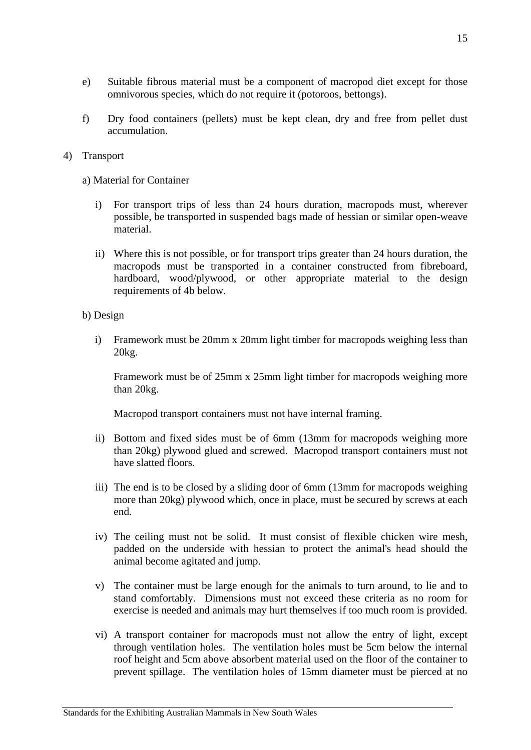- e) Suitable fibrous material must be a component of macropod diet except for those omnivorous species, which do not require it (potoroos, bettongs).
- f) Dry food containers (pellets) must be kept clean, dry and free from pellet dust accumulation.

#### 4) Transport

a) Material for Container

- i) For transport trips of less than 24 hours duration, macropods must, wherever possible, be transported in suspended bags made of hessian or similar open-weave material.
- ii) Where this is not possible, or for transport trips greater than 24 hours duration, the macropods must be transported in a container constructed from fibreboard, hardboard, wood/plywood, or other appropriate material to the design requirements of 4b below.

#### b) Design

i) Framework must be 20mm x 20mm light timber for macropods weighing less than 20kg.

Framework must be of 25mm x 25mm light timber for macropods weighing more than 20kg.

Macropod transport containers must not have internal framing.

- ii) Bottom and fixed sides must be of 6mm (13mm for macropods weighing more than 20kg) plywood glued and screwed. Macropod transport containers must not have slatted floors.
- iii) The end is to be closed by a sliding door of 6mm (13mm for macropods weighing more than 20kg) plywood which, once in place, must be secured by screws at each end.
- iv) The ceiling must not be solid. It must consist of flexible chicken wire mesh, padded on the underside with hessian to protect the animal's head should the animal become agitated and jump.
- v) The container must be large enough for the animals to turn around, to lie and to stand comfortably. Dimensions must not exceed these criteria as no room for exercise is needed and animals may hurt themselves if too much room is provided.
- vi) A transport container for macropods must not allow the entry of light, except through ventilation holes. The ventilation holes must be 5cm below the internal roof height and 5cm above absorbent material used on the floor of the container to prevent spillage. The ventilation holes of 15mm diameter must be pierced at no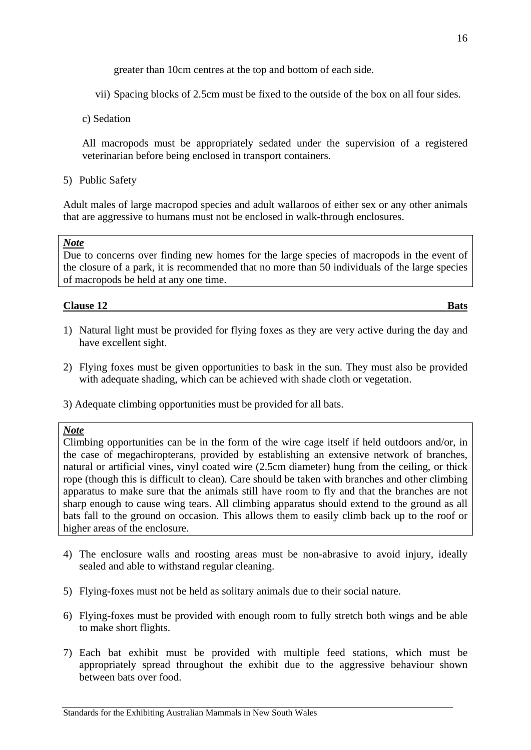greater than 10cm centres at the top and bottom of each side.

- <span id="page-17-0"></span>vii) Spacing blocks of 2.5cm must be fixed to the outside of the box on all four sides.
- c) Sedation

All macropods must be appropriately sedated under the supervision of a registered veterinarian before being enclosed in transport containers.

5) Public Safety

Adult males of large macropod species and adult wallaroos of either sex or any other animals that are aggressive to humans must not be enclosed in walk-through enclosures.

#### *Note*

Due to concerns over finding new homes for the large species of macropods in the event of the closure of a park, it is recommended that no more than 50 individuals of the large species of macropods be held at any one time.

#### **Clause 12** Bats

- 1) Natural light must be provided for flying foxes as they are very active during the day and have excellent sight.
- 2) Flying foxes must be given opportunities to bask in the sun. They must also be provided with adequate shading, which can be achieved with shade cloth or vegetation.
- 3) Adequate climbing opportunities must be provided for all bats.

#### *Note*

Climbing opportunities can be in the form of the wire cage itself if held outdoors and/or, in the case of megachiropterans, provided by establishing an extensive network of branches, natural or artificial vines, vinyl coated wire (2.5cm diameter) hung from the ceiling, or thick rope (though this is difficult to clean). Care should be taken with branches and other climbing apparatus to make sure that the animals still have room to fly and that the branches are not sharp enough to cause wing tears. All climbing apparatus should extend to the ground as all bats fall to the ground on occasion. This allows them to easily climb back up to the roof or higher areas of the enclosure.

- 4) The enclosure walls and roosting areas must be non-abrasive to avoid injury, ideally sealed and able to withstand regular cleaning.
- 5) Flying-foxes must not be held as solitary animals due to their social nature.
- 6) Flying-foxes must be provided with enough room to fully stretch both wings and be able to make short flights.
- 7) Each bat exhibit must be provided with multiple feed stations, which must be appropriately spread throughout the exhibit due to the aggressive behaviour shown between bats over food.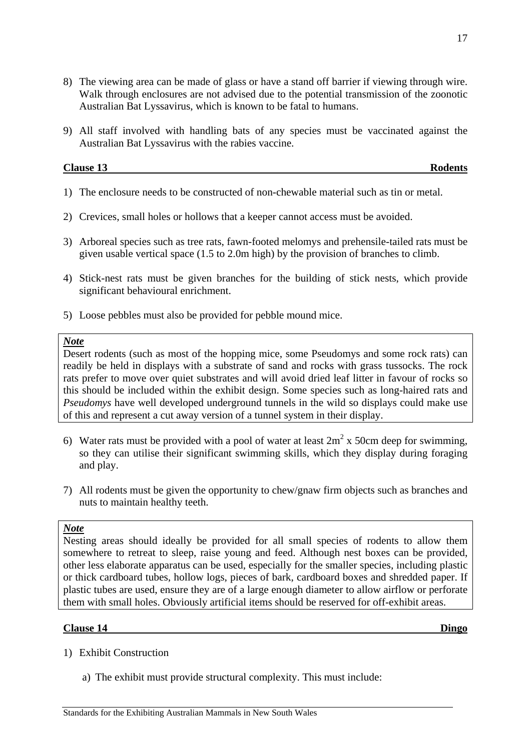- <span id="page-18-0"></span>8) The viewing area can be made of glass or have a stand off barrier if viewing through wire. Walk through enclosures are not advised due to the potential transmission of the zoonotic Australian Bat Lyssavirus, which is known to be fatal to humans.
- 9) All staff involved with handling bats of any species must be vaccinated against the Australian Bat Lyssavirus with the rabies vaccine.

| <b>Clause 13</b> | D.<br>Rodents |
|------------------|---------------|
|                  |               |

- 1) The enclosure needs to be constructed of non-chewable material such as tin or metal.
- 2) Crevices, small holes or hollows that a keeper cannot access must be avoided.
- 3) Arboreal species such as tree rats, fawn-footed melomys and prehensile-tailed rats must be given usable vertical space (1.5 to 2.0m high) by the provision of branches to climb.
- 4) Stick-nest rats must be given branches for the building of stick nests, which provide significant behavioural enrichment.
- 5) Loose pebbles must also be provided for pebble mound mice.

Desert rodents (such as most of the hopping mice, some Pseudomys and some rock rats) can readily be held in displays with a substrate of sand and rocks with grass tussocks. The rock rats prefer to move over quiet substrates and will avoid dried leaf litter in favour of rocks so this should be included within the exhibit design. Some species such as long-haired rats and *Pseudomys* have well developed underground tunnels in the wild so displays could make use of this and represent a cut away version of a tunnel system in their display.

- 6) Water rats must be provided with a pool of water at least  $2m^2$  x 50cm deep for swimming, so they can utilise their significant swimming skills, which they display during foraging and play.
- 7) All rodents must be given the opportunity to chew/gnaw firm objects such as branches and nuts to maintain healthy teeth.

#### *Note*

Nesting areas should ideally be provided for all small species of rodents to allow them somewhere to retreat to sleep, raise young and feed. Although nest boxes can be provided, other less elaborate apparatus can be used, especially for the smaller species, including plastic or thick cardboard tubes, hollow logs, pieces of bark, cardboard boxes and shredded paper. If plastic tubes are used, ensure they are of a large enough diameter to allow airflow or perforate them with small holes. Obviously artificial items should be reserved for off-exhibit areas.

#### **Clause 14 Dingo**

- 1) Exhibit Construction
	- a) The exhibit must provide structural complexity. This must include: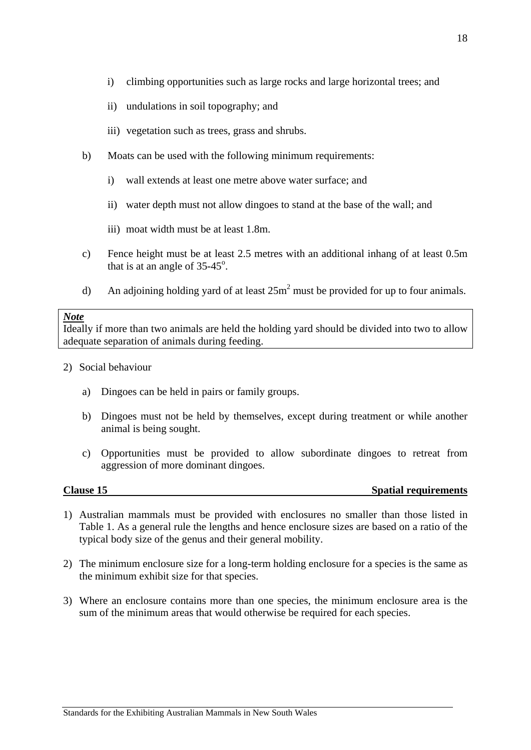- <span id="page-19-0"></span>i) climbing opportunities such as large rocks and large horizontal trees; and
- ii) undulations in soil topography; and
- iii) vegetation such as trees, grass and shrubs.
- b) Moats can be used with the following minimum requirements:
	- i) wall extends at least one metre above water surface; and
	- ii) water depth must not allow dingoes to stand at the base of the wall; and
	- iii) moat width must be at least 1.8m.
- c) Fence height must be at least 2.5 metres with an additional inhang of at least 0.5m that is at an angle of  $35-45^\circ$ .
- d) An adjoining holding yard of at least  $25m^2$  must be provided for up to four animals.

Ideally if more than two animals are held the holding yard should be divided into two to allow adequate separation of animals during feeding.

- 2) Social behaviour
	- a) Dingoes can be held in pairs or family groups.
	- b) Dingoes must not be held by themselves, except during treatment or while another animal is being sought.
	- c) Opportunities must be provided to allow subordinate dingoes to retreat from aggression of more dominant dingoes.

**Clause 15** Spatial requirements

- 1) Australian mammals must be provided with enclosures no smaller than those listed in Table 1. As a general rule the lengths and hence enclosure sizes are based on a ratio of the typical body size of the genus and their general mobility.
- 2) The minimum enclosure size for a long-term holding enclosure for a species is the same as the minimum exhibit size for that species.
- 3) Where an enclosure contains more than one species, the minimum enclosure area is the sum of the minimum areas that would otherwise be required for each species.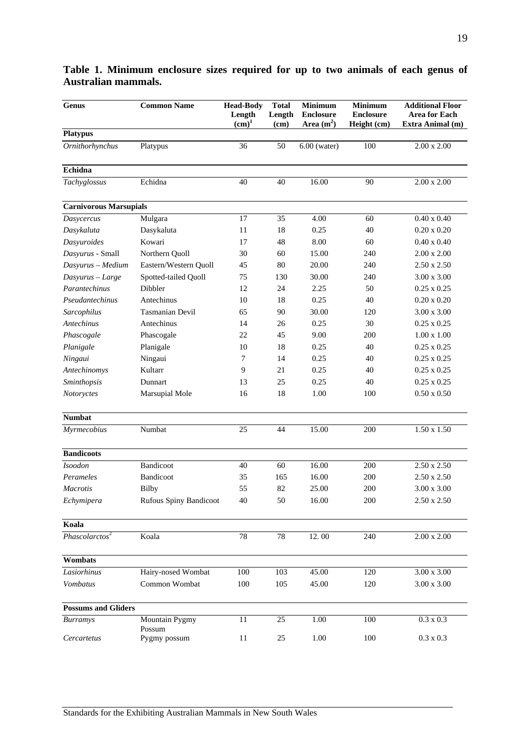| <b>Genus</b>                  | <b>Common Name</b>            | <b>Head-Body</b><br>Length<br>(cm) <sup>1</sup> | <b>Total</b><br>Length<br>(cm) | <b>Minimum</b><br><b>Enclosure</b><br>Area (m <sup>2</sup> ) | <b>Minimum</b><br><b>Enclosure</b><br>Height (cm) | <b>Additional Floor</b><br><b>Area for Each</b><br>Extra Animal (m) |
|-------------------------------|-------------------------------|-------------------------------------------------|--------------------------------|--------------------------------------------------------------|---------------------------------------------------|---------------------------------------------------------------------|
| <b>Platypus</b>               |                               |                                                 |                                |                                                              |                                                   |                                                                     |
| Ornithorhynchus               | Platypus                      | 36                                              | 50                             | $6.00$ (water)                                               | 100                                               | $2.00 \times 2.00$                                                  |
| Echidna                       |                               |                                                 |                                |                                                              |                                                   |                                                                     |
| Tachyglossus                  | Echidna                       | 40                                              | 40                             | 16.00                                                        | 90                                                | $2.00 \times 2.00$                                                  |
| <b>Carnivorous Marsupials</b> |                               |                                                 |                                |                                                              |                                                   |                                                                     |
| Dasycercus                    | Mulgara                       | 17                                              | 35                             | 4.00                                                         | 60                                                | $0.40 \times 0.40$                                                  |
| Dasykaluta                    | Dasykaluta                    | 11                                              | 18                             | 0.25                                                         | 40                                                | $0.20 \times 0.20$                                                  |
| Dasyuroides                   | Kowari                        | 17                                              | 48                             | 8.00                                                         | 60                                                | $0.40 \times 0.40$                                                  |
| Dasyurus - Small              | Northern Quoll                | 30                                              | 60                             | 15.00                                                        | 240                                               | $2.00 \times 2.00$                                                  |
| Dasyurus - Medium             | Eastern/Western Quoll         | 45                                              | 80                             | 20.00                                                        | 240                                               | $2.50 \times 2.50$                                                  |
| Dasyurus - Large              | Spotted-tailed Quoll          | 75                                              | 130                            | 30.00                                                        | 240                                               | $3.00 \times 3.00$                                                  |
| Parantechinus                 | Dibbler                       | 12                                              | 24                             | 2.25                                                         | 50                                                | $0.25 \times 0.25$                                                  |
| Pseudantechinus               | Antechinus                    | 10                                              | 18                             | 0.25                                                         | 40                                                | $0.20 \times 0.20$                                                  |
| Sarcophilus                   | <b>Tasmanian Devil</b>        | 65                                              | 90                             | 30.00                                                        | 120                                               | 3.00 x 3.00                                                         |
| <b>Antechinus</b>             | Antechinus                    | 14                                              | 26                             | 0.25                                                         | 30                                                | $0.25 \times 0.25$                                                  |
| Phascogale                    | Phascogale                    | 22                                              | 45                             | 9.00                                                         | 200                                               | $1.00 \times 1.00$                                                  |
| Planigale                     | Planigale                     | 10                                              | 18                             | 0.25                                                         | 40                                                | $0.25 \times 0.25$                                                  |
| Ningaui                       | Ningaui                       | 7                                               | 14                             | 0.25                                                         | 40                                                | $0.25 \times 0.25$                                                  |
| Antechinomys                  | Kultarr                       | 9                                               | 21                             | 0.25                                                         | 40                                                | $0.25 \times 0.25$                                                  |
| Sminthopsis                   | Dunnart                       | 13                                              | 25                             | 0.25                                                         | 40                                                | $0.25 \times 0.25$                                                  |
| Notoryctes                    | Marsupial Mole                | 16                                              | 18                             | 1.00                                                         | 100                                               | $0.50 \times 0.50$                                                  |
| <b>Numbat</b>                 |                               |                                                 |                                |                                                              |                                                   |                                                                     |
| Myrmecobius                   | Numbat                        | 25                                              | 44                             | 15.00                                                        | 200                                               | $1.50 \times 1.50$                                                  |
| <b>Bandicoots</b>             |                               |                                                 |                                |                                                              |                                                   |                                                                     |
| <b>Isoodon</b>                | Bandicoot                     | 40                                              | 60                             | 16.00                                                        | 200                                               | $2.50 \times 2.50$                                                  |
| Perameles                     | Bandicoot                     | 35                                              | 165                            | 16.00                                                        | 200                                               | $2.50 \times 2.50$                                                  |
| <b>Macrotis</b>               | <b>Bilby</b>                  | 55                                              | 82                             | 25.00                                                        | 200                                               | 3.00 x 3.00                                                         |
| Echymipera                    | <b>Rufous Spiny Bandicoot</b> | 40                                              | 50                             | 16.00                                                        | 200                                               | $2.50 \times 2.50$                                                  |
| Koala                         |                               |                                                 |                                |                                                              |                                                   |                                                                     |
| Phascolarctos <sup>2</sup>    | Koala                         | 78                                              | 78                             | 12.00                                                        | 240                                               | $2.00 \times 2.00$                                                  |
| Wombats                       |                               |                                                 |                                |                                                              |                                                   |                                                                     |
| Lasiorhinus                   | Hairy-nosed Wombat            | 100                                             | 103                            | 45.00                                                        | 120                                               | $3.00 \times 3.00$                                                  |
| Vombatus                      | Common Wombat                 | 100                                             | 105                            | 45.00                                                        | 120                                               | $3.00 \times 3.00$                                                  |
| <b>Possums and Gliders</b>    |                               |                                                 |                                |                                                              |                                                   |                                                                     |
| <b>Burramys</b>               | Mountain Pygmy<br>Possum      | 11                                              | 25                             | 1.00                                                         | 100                                               | $0.3 \times 0.3$                                                    |
| Cercartetus                   | Pygmy possum                  | 11                                              | 25                             | 1.00                                                         | 100                                               | $0.3 \times 0.3$                                                    |

### **Table 1. Minimum enclosure sizes required for up to two animals of each genus of Australian mammals.**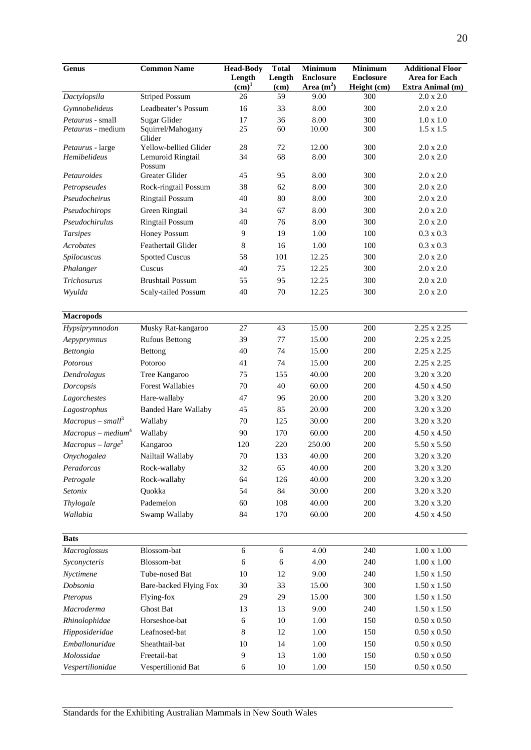| Genus                    | <b>Common Name</b>          | <b>Head-Body</b>            | <b>Total</b>    | <b>Minimum</b>                   | <b>Minimum</b>                  | <b>Additional Floor</b>                  |
|--------------------------|-----------------------------|-----------------------------|-----------------|----------------------------------|---------------------------------|------------------------------------------|
|                          |                             | Length<br>(cm) <sup>1</sup> | Length          | <b>Enclosure</b><br>Area $(m^2)$ | <b>Enclosure</b><br>Height (cm) | <b>Area for Each</b><br>Extra Animal (m) |
| Dactylopsila             | <b>Striped Possum</b>       | 26                          | (cm)<br>59      | 9.00                             | 300                             | 2.0 x 2.0                                |
| Gymnobelideus            | Leadbeater's Possum         | 16                          | 33              | 8.00                             | 300                             | 2.0 x 2.0                                |
| Petaurus - small         | Sugar Glider                | 17                          | 36              | 8.00                             | 300                             | $1.0 \ge 1.0$                            |
| <i>Petaurus</i> - medium | Squirrel/Mahogany<br>Glider | 25                          | 60              | 10.00                            | 300                             | $1.5 \times 1.5$                         |
| Petaurus - large         | Yellow-bellied Glider       | 28                          | 72              | 12.00                            | 300                             | $2.0 \times 2.0$                         |
| Hemibelideus             | Lemuroid Ringtail           | 34                          | 68              | 8.00                             | 300                             | 2.0 x 2.0                                |
| Petauroides              | Possum<br>Greater Glider    | 45                          | 95              | 8.00                             | 300                             | $2.0 \times 2.0$                         |
| Petropseudes             | Rock-ringtail Possum        | 38                          | 62              | 8.00                             | 300                             | 2.0 x 2.0                                |
| Pseudocheirus            | <b>Ringtail Possum</b>      | 40                          | 80              | 8.00                             | 300                             | $2.0 \times 2.0$                         |
| Pseudochirops            | Green Ringtail              | 34                          | 67              | 8.00                             | 300                             | 2.0 x 2.0                                |
| Pseudochirulus           | <b>Ringtail Possum</b>      | 40                          | 76              | 8.00                             | 300                             | 2.0 x 2.0                                |
| <b>Tarsipes</b>          | Honey Possum                | 9                           | 19              | 1.00                             | 100                             | $0.3 \times 0.3$                         |
| <b>Acrobates</b>         | Feathertail Glider          | $\,8\,$                     | 16              | 1.00                             | 100                             | $0.3 \times 0.3$                         |
| Spilocuscus              | <b>Spotted Cuscus</b>       | 58                          | 101             | 12.25                            | 300                             | 2.0 x 2.0                                |
| Phalanger                | Cuscus                      | 40                          | 75              | 12.25                            | 300                             | 2.0 x 2.0                                |
| Trichosurus              | <b>Brushtail Possum</b>     | 55                          | 95              | 12.25                            | 300                             | 2.0 x 2.0                                |
| Wyulda                   | Scaly-tailed Possum         | 40                          | 70              | 12.25                            | 300                             | 2.0 x 2.0                                |
|                          |                             |                             |                 |                                  |                                 |                                          |
| <b>Macropods</b>         |                             |                             |                 |                                  |                                 |                                          |
| Hypsiprymnodon           | Musky Rat-kangaroo          | $\overline{27}$             | $\overline{43}$ | 15.00                            | 200                             | $2.25 \times 2.25$                       |
| Aepyprymnus              | <b>Rufous Bettong</b>       | 39                          | 77              | 15.00                            | 200                             | 2.25 x 2.25                              |
| Bettongia                | Bettong                     | 40                          | 74              | 15.00                            | 200                             | $2.25 \times 2.25$                       |
| Potorous                 | Potoroo                     | 41                          | 74              | 15.00                            | 200                             | 2.25 x 2.25                              |
| Dendrolagus              | Tree Kangaroo               | 75                          | 155             | 40.00                            | 200                             | 3.20 x 3.20                              |
| Dorcopsis                | <b>Forest Wallabies</b>     | 70                          | 40              | 60.00                            | 200                             | $4.50 \times 4.50$                       |
| Lagorchestes             | Hare-wallaby                | 47                          | 96              | 20.00                            | 200                             | 3.20 x 3.20                              |
| Lagostrophus             | <b>Banded Hare Wallaby</b>  | 45                          | 85              | 20.00                            | 200                             | 3.20 x 3.20                              |
| $Macropus - small3$      | Wallaby                     | 70                          | 125             | 30.00                            | 200                             | 3.20 x 3.20                              |
| $Macropus - medium4$     | Wallaby                     | 90                          | 170             | 60.00                            | 200                             | $4.50 \times 4.50$                       |
| $Macropus - large5$      | Kangaroo                    | 120                         | 220             | 250.00                           | 200                             | 5.50 x 5.50                              |
| Onychogalea              | Nailtail Wallaby            | 70                          | 133             | 40.00                            | 200                             | 3.20 x 3.20                              |
| Peradorcas               | Rock-wallaby                | 32                          | 65              | 40.00                            | 200                             | 3.20 x 3.20                              |
| Petrogale                | Rock-wallaby                | 64                          | 126             | 40.00                            | 200                             | 3.20 x 3.20                              |
| Setonix                  | Quokka                      | 54                          | 84              | 30.00                            | 200                             | 3.20 x 3.20                              |
| Thylogale                | Pademelon                   | 60                          | 108             | 40.00                            | 200                             | 3.20 x 3.20                              |
| Wallabia                 | Swamp Wallaby               | 84                          | 170             | 60.00                            | 200                             | 4.50 x 4.50                              |
| <b>Bats</b>              |                             |                             |                 |                                  |                                 |                                          |
| Macroglossus             | Blossom-bat                 | $\sqrt{6}$                  | $\sqrt{6}$      | 4.00                             | 240                             | $1.00 \ge 1.00$                          |
| Syconycteris             | Blossom-bat                 | 6                           | 6               | 4.00                             | 240                             | $1.00\ge1.00$                            |
| Nyctimene                | Tube-nosed Bat              | 10                          | 12              | 9.00                             | 240                             | $1.50 \times 1.50$                       |
| Dobsonia                 | Bare-backed Flying Fox      | 30                          | 33              | 15.00                            | 300                             | $1.50 \times 1.50$                       |
| Pteropus                 | Flying-fox                  | 29                          | 29              | 15.00                            | 300                             | $1.50 \times 1.50$                       |
| Macroderma               | Ghost Bat                   | 13                          | 13              | 9.00                             | 240                             | $1.50 \times 1.50$                       |
| Rhinolophidae            | Horseshoe-bat               | 6                           | 10              | 1.00                             | 150                             | $0.50 \ge 0.50$                          |
| Hipposideridae           | Leafnosed-bat               | 8                           | 12              | 1.00                             | 150                             | $0.50 \times 0.50$                       |
| Emballonuridae           | Sheathtail-bat              | 10                          | 14              | 1.00                             | 150                             | $0.50 \ge 0.50$                          |
| Molossidae               | Freetail-bat                | 9                           | 13              | 1.00                             | 150                             | $0.50 \ge 0.50$                          |
| Vespertilionidae         | Vespertilionid Bat          | 6                           | 10              | 1.00                             | 150                             | $0.50\ge0.50$                            |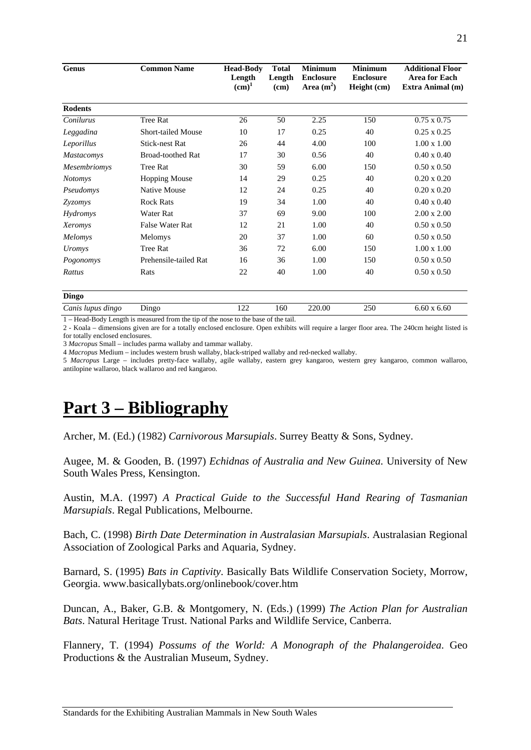<span id="page-22-0"></span>

| Genus             | <b>Common Name</b>        | <b>Head-Body</b><br>Length<br>(cm) <sup>1</sup> | <b>Total</b><br>Length<br>(cm) | <b>Minimum</b><br><b>Enclosure</b><br>Area $(m^2)$ | <b>Minimum</b><br><b>Enclosure</b><br>Height (cm) | <b>Additional Floor</b><br><b>Area for Each</b><br>Extra Animal (m) |
|-------------------|---------------------------|-------------------------------------------------|--------------------------------|----------------------------------------------------|---------------------------------------------------|---------------------------------------------------------------------|
| <b>Rodents</b>    |                           |                                                 |                                |                                                    |                                                   |                                                                     |
| Conilurus         | <b>Tree Rat</b>           | 26                                              | 50                             | 2.25                                               | 150                                               | $0.75 \times 0.75$                                                  |
| Leggadina         | <b>Short-tailed Mouse</b> | 10                                              | 17                             | 0.25                                               | 40                                                | $0.25 \times 0.25$                                                  |
| Leporillus        | <b>Stick-nest Rat</b>     | 26                                              | 44                             | 4.00                                               | 100                                               | $1.00 \times 1.00$                                                  |
| <b>Mastacomys</b> | <b>Broad-toothed Rat</b>  | 17                                              | 30                             | 0.56                                               | 40                                                | $0.40 \times 0.40$                                                  |
| Mesembriomys      | Tree Rat                  | 30                                              | 59                             | 6.00                                               | 150                                               | $0.50 \times 0.50$                                                  |
| <b>Notomys</b>    | <b>Hopping Mouse</b>      | 14                                              | 29                             | 0.25                                               | 40                                                | $0.20 \times 0.20$                                                  |
| Pseudomys         | <b>Native Mouse</b>       | 12                                              | 24                             | 0.25                                               | 40                                                | $0.20 \times 0.20$                                                  |
| Zyzomys           | <b>Rock Rats</b>          | 19                                              | 34                             | 1.00                                               | 40                                                | $0.40 \times 0.40$                                                  |
| Hydromys          | <b>Water Rat</b>          | 37                                              | 69                             | 9.00                                               | 100                                               | $2.00 \times 2.00$                                                  |
| Xeromys           | False Water Rat           | 12                                              | 21                             | 1.00                                               | 40                                                | $0.50 \times 0.50$                                                  |
| Melomys           | Melomys                   | 20                                              | 37                             | 1.00                                               | 60                                                | $0.50 \times 0.50$                                                  |
| Uromys            | Tree Rat                  | 36                                              | 72                             | 6.00                                               | 150                                               | $1.00 \times 1.00$                                                  |
| Pogonomys         | Prehensile-tailed Rat     | 16                                              | 36                             | 1.00                                               | 150                                               | $0.50 \times 0.50$                                                  |
| Rattus            | Rats                      | 22                                              | 40                             | 1.00                                               | 40                                                | $0.50 \times 0.50$                                                  |
| <b>Dingo</b>      |                           |                                                 |                                |                                                    |                                                   |                                                                     |
| Canis lupus dingo | Dingo                     | 122                                             | 160                            | 220.00                                             | 250                                               | $6.60 \times 6.60$                                                  |

1 – Head-Body Length is measured from the tip of the nose to the base of the tail.

2 - Koala – dimensions given are for a totally enclosed enclosure. Open exhibits will require a larger floor area. The 240cm height listed is for totally enclosed enclosures.

3 *Macropus* Small – includes parma wallaby and tammar wallaby.

4 *Macropus* Medium – includes western brush wallaby, black-striped wallaby and red-necked wallaby.

5 *Macropus* Large – includes pretty-face wallaby, agile wallaby, eastern grey kangaroo, western grey kangaroo, common wallaroo, antilopine wallaroo, black wallaroo and red kangaroo.

## **Part 3 – Bibliography**

Archer, M. (Ed.) (1982) *Carnivorous Marsupials*. Surrey Beatty & Sons, Sydney.

Augee, M. & Gooden, B. (1997) *Echidnas of Australia and New Guinea*. University of New South Wales Press, Kensington.

Austin, M.A. (1997) *A Practical Guide to the Successful Hand Rearing of Tasmanian Marsupials*. Regal Publications, Melbourne.

Bach, C. (1998) *Birth Date Determination in Australasian Marsupials*. Australasian Regional Association of Zoological Parks and Aquaria, Sydney.

Barnard, S. (1995) *Bats in Captivity*. Basically Bats Wildlife Conservation Society, Morrow, Georgia. www.basicallybats.org/onlinebook/cover.htm

Duncan, A., Baker, G.B. & Montgomery, N. (Eds.) (1999) *The Action Plan for Australian Bats*. Natural Heritage Trust. National Parks and Wildlife Service, Canberra.

Flannery, T. (1994) *Possums of the World: A Monograph of the Phalangeroidea*. Geo Productions & the Australian Museum, Sydney.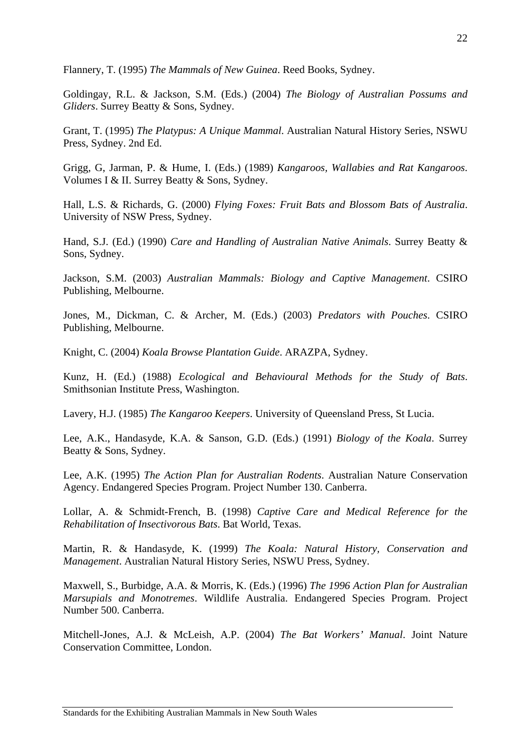Flannery, T. (1995) *The Mammals of New Guinea*. Reed Books, Sydney.

Goldingay, R.L. & Jackson, S.M. (Eds.) (2004) *The Biology of Australian Possums and Gliders*. Surrey Beatty & Sons, Sydney.

Grant, T. (1995) *The Platypus: A Unique Mammal*. Australian Natural History Series, NSWU Press, Sydney. 2nd Ed.

Grigg, G, Jarman, P. & Hume, I. (Eds.) (1989) *Kangaroos, Wallabies and Rat Kangaroos*. Volumes I & II. Surrey Beatty & Sons, Sydney.

Hall, L.S. & Richards, G. (2000) *Flying Foxes: Fruit Bats and Blossom Bats of Australia*. University of NSW Press, Sydney.

Hand, S.J. (Ed.) (1990) *Care and Handling of Australian Native Animals*. Surrey Beatty & Sons, Sydney.

Jackson, S.M. (2003) *Australian Mammals: Biology and Captive Management*. CSIRO Publishing, Melbourne.

Jones, M., Dickman, C. & Archer, M. (Eds.) (2003) *Predators with Pouches*. CSIRO Publishing, Melbourne.

Knight, C. (2004) *Koala Browse Plantation Guide*. ARAZPA, Sydney.

Kunz, H. (Ed.) (1988) *Ecological and Behavioural Methods for the Study of Bats*. Smithsonian Institute Press, Washington.

Lavery, H.J. (1985) *The Kangaroo Keepers*. University of Queensland Press, St Lucia.

Lee, A.K., Handasyde, K.A. & Sanson, G.D. (Eds.) (1991) *Biology of the Koala*. Surrey Beatty & Sons, Sydney.

Lee, A.K. (1995) *The Action Plan for Australian Rodents*. Australian Nature Conservation Agency. Endangered Species Program. Project Number 130. Canberra.

Lollar, A. & Schmidt-French, B. (1998) *Captive Care and Medical Reference for the Rehabilitation of Insectivorous Bats*. Bat World, Texas.

Martin, R. & Handasyde, K. (1999) *The Koala: Natural History, Conservation and Management*. Australian Natural History Series, NSWU Press, Sydney.

Maxwell, S., Burbidge, A.A. & Morris, K. (Eds.) (1996) *The 1996 Action Plan for Australian Marsupials and Monotremes*. Wildlife Australia. Endangered Species Program. Project Number 500. Canberra.

Mitchell-Jones, A.J. & McLeish, A.P. (2004) *The Bat Workers' Manual*. Joint Nature Conservation Committee, London.